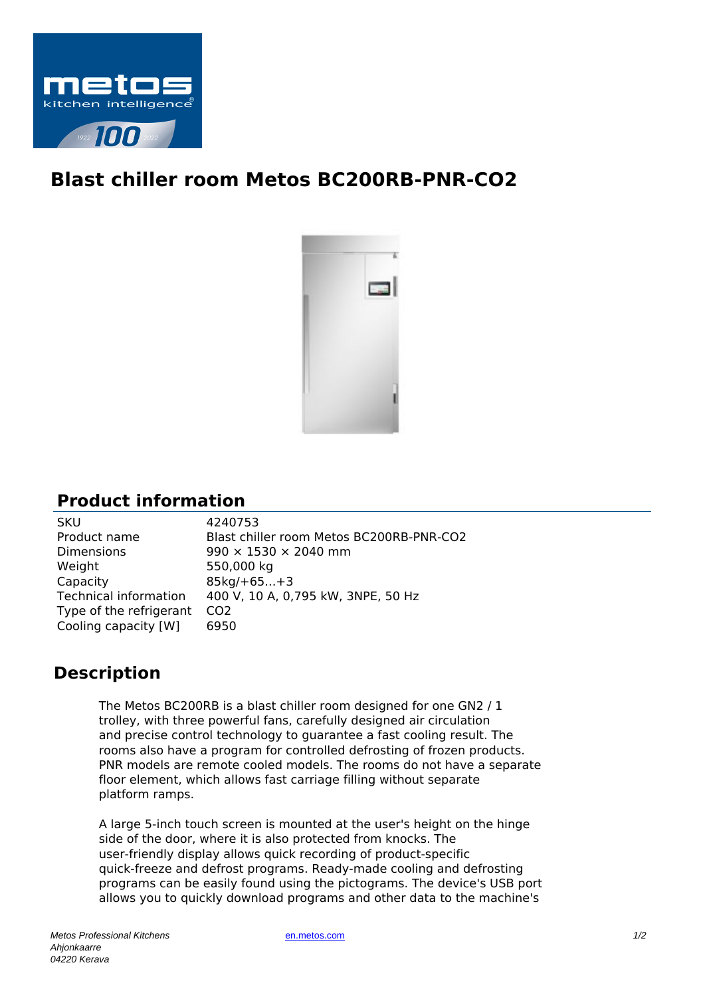

## **Blast chiller room Metos BC200RB-PNR-CO2**



## **Product information**

| <b>SKU</b>              | 4240753                                  |
|-------------------------|------------------------------------------|
| Product name            | Blast chiller room Metos BC200RB-PNR-CO2 |
| <b>Dimensions</b>       | $990 \times 1530 \times 2040$ mm         |
| Weight                  | 550,000 kg                               |
| Capacity                | $85kg/ + 65 + 3$                         |
| Technical information   | 400 V, 10 A, 0,795 kW, 3NPE, 50 Hz       |
| Type of the refrigerant | C <sub>O</sub> 2                         |
| Cooling capacity [W]    | 6950                                     |
|                         |                                          |

## **Description**

The Metos BC200RB is a blast chiller room designed for one GN2 / 1 trolley, with three powerful fans, carefully designed air circulation and precise control technology to guarantee a fast cooling result. The rooms also have a program for controlled defrosting of frozen products. PNR models are remote cooled models. The rooms do not have a separate floor element, which allows fast carriage filling without separate platform ramps.

A large 5-inch touch screen is mounted at the user's height on the hinge side of the door, where it is also protected from knocks. The user-friendly display allows quick recording of product-specific quick-freeze and defrost programs. Ready-made cooling and defrosting programs can be easily found using the pictograms. The device's USB port allows you to quickly download programs and other data to the machine's